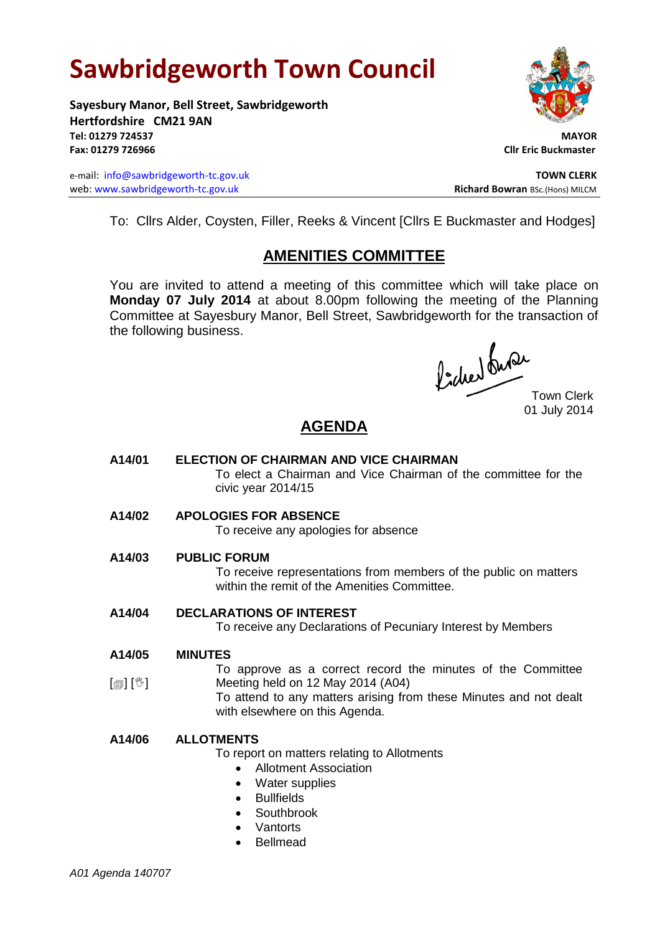# **Sawbridgeworth Town Council**

**Sayesbury Manor, Bell Street, Sawbridgeworth Hertfordshire CM21 9AN Tel: 01279 724537 MAYOR Fax: 01279 726966 Cllr Eric Buckmaster**

e-mail: [info@sawbridgeworth-tc.gov.uk](mailto:info@sawbridgeworth-tc.gov.uk) **TOWN CLERK** web: www.sawbridgeworth-tc.gov.uk<br> **Richard Bowran** BSc.(Hons) MILCM



To: Cllrs Alder, Coysten, Filler, Reeks & Vincent [Cllrs E Buckmaster and Hodges]

# **AMENITIES COMMITTEE**

You are invited to attend a meeting of this committee which will take place on **Monday 07 July 2014** at about 8.00pm following the meeting of the Planning Committee at Sayesbury Manor, Bell Street, Sawbridgeworth for the transaction of the following business.

Picked Que

Town Clerk 01 July 2014

# **AGENDA**

- **A14/01 ELECTION OF CHAIRMAN AND VICE CHAIRMAN** To elect a Chairman and Vice Chairman of the committee for the civic year 2014/15
- **A14/02 APOLOGIES FOR ABSENCE**

To receive any apologies for absence

**A14/03 PUBLIC FORUM**

To receive representations from members of the public on matters within the remit of the Amenities Committee.

**A14/04 DECLARATIONS OF INTEREST**

To receive any Declarations of Pecuniary Interest by Members

**A14/05 MINUTES**

 $\lceil \blacksquare \rceil$   $\lceil \sqrt[6]{} \rceil$ To approve as a correct record the minutes of the Committee Meeting held on 12 May 2014 (A04)

To attend to any matters arising from these Minutes and not dealt with elsewhere on this Agenda.

#### **A14/06 ALLOTMENTS**

To report on matters relating to Allotments

- Allotment Association
- Water supplies
- **•** Bullfields
- Southbrook
- **Vantorts**
- Bellmead